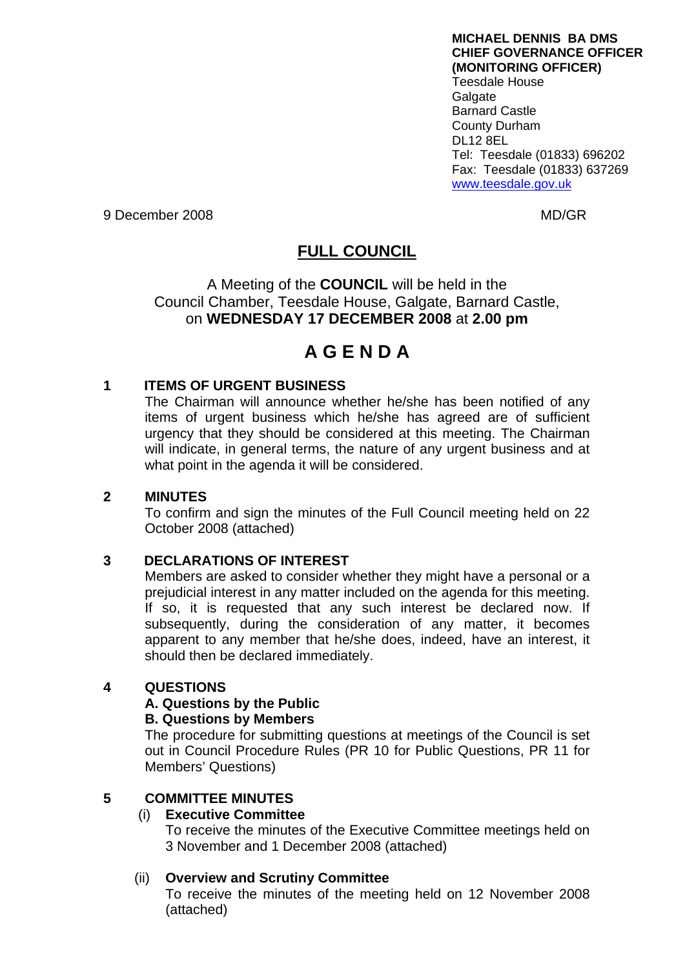**MICHAEL DENNIS BA DMS CHIEF GOVERNANCE OFFICER (MONITORING OFFICER)**  Teesdale House Galgate Barnard Castle County Durham DL12 8EL Tel: Teesdale (01833) 696202 Fax: Teesdale (01833) 637269 [www.teesdale.gov.uk](http://www.teesdale.gov.uk/)

9 December 2008 MD/GR

# **FULL COUNCIL**

A Meeting of the **COUNCIL** will be held in the Council Chamber, Teesdale House, Galgate, Barnard Castle, on **WEDNESDAY 17 DECEMBER 2008** at **2.00 pm** 

# **A G E N D A**

# **1 ITEMS OF URGENT BUSINESS**

The Chairman will announce whether he/she has been notified of any items of urgent business which he/she has agreed are of sufficient urgency that they should be considered at this meeting. The Chairman will indicate, in general terms, the nature of any urgent business and at what point in the agenda it will be considered.

# **2 MINUTES**

To confirm and sign the minutes of the Full Council meeting held on 22 October 2008 (attached)

# **3 DECLARATIONS OF INTEREST**

Members are asked to consider whether they might have a personal or a prejudicial interest in any matter included on the agenda for this meeting. If so, it is requested that any such interest be declared now. If subsequently, during the consideration of any matter, it becomes apparent to any member that he/she does, indeed, have an interest, it should then be declared immediately.

# **4 QUESTIONS**

# **A. Questions by the Public**

#### **B. Questions by Members**

The procedure for submitting questions at meetings of the Council is set out in Council Procedure Rules (PR 10 for Public Questions, PR 11 for Members' Questions)

# **5 COMMITTEE MINUTES**

# (i) **Executive Committee**

To receive the minutes of the Executive Committee meetings held on 3 November and 1 December 2008 (attached)

# (ii) **Overview and Scrutiny Committee**

To receive the minutes of the meeting held on 12 November 2008 (attached)